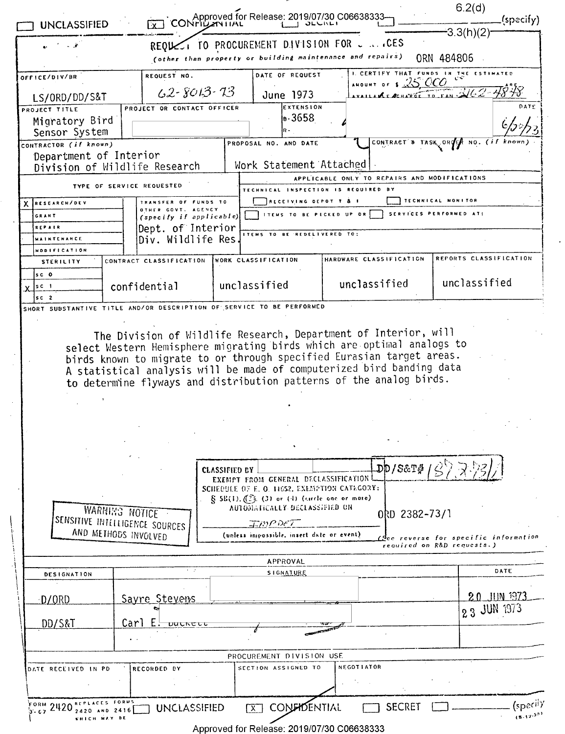|   | <b>UNCLASSIFIED</b>                                                       |                |                                                                          |                      | EX CONFILENTIAL<br>CONFILENTIAL                                                                                                       |                                                                                                          | 6.2(d)<br>(specify)                                                 |  |
|---|---------------------------------------------------------------------------|----------------|--------------------------------------------------------------------------|----------------------|---------------------------------------------------------------------------------------------------------------------------------------|----------------------------------------------------------------------------------------------------------|---------------------------------------------------------------------|--|
|   | $\mathcal{F} = \mathcal{F}$                                               |                |                                                                          |                      |                                                                                                                                       | REQUEST TO PROCUREMENT DIVISION FOR CALICES<br>(other than property or building maintenance and repairs) | ·3.3(h)(2) <sup>.</sup><br>ORN 484806                               |  |
|   | OFFICE/DIV/BR                                                             |                | REQUEST NO.                                                              |                      | DATE OF REQUEST                                                                                                                       | <b>F. CERTIFY THAT FU</b><br>ANOUNT OF $\frac{25}{100}$                                                  |                                                                     |  |
|   | $62 - 8013 - 73$<br>LS/ORD/DD/S&T                                         |                | June 1973                                                                |                      |                                                                                                                                       |                                                                                                          |                                                                     |  |
|   | PROJECT TITLE<br>Migratory Bird<br>Sensor System<br>CONTRACTOR (if known) |                | PROJECT OR CONTACT OFFICER                                               |                      | <b>EXTENSION</b><br>le-3658<br>R -<br>PROPOSAL NO. AND DATE                                                                           |                                                                                                          | DATE<br>CONTRACT & TASK, OROER NO. (if known)                       |  |
|   | Department of Interior<br>Division of Wildlife Research                   |                |                                                                          |                      | Work Statement Attached                                                                                                               |                                                                                                          |                                                                     |  |
|   |                                                                           |                | TYPE OF SERVICE REQUESTED                                                |                      | TECHNICAL INSPECTION IS REQUIRED BY                                                                                                   | APPLICABLE ONLY TO REPAIRS AND MODIFICATIONS                                                             |                                                                     |  |
| x | RESEARCH/DEV                                                              |                | SFER OF FUNDS TO                                                         |                      | RECEIVING DEPOT T & I                                                                                                                 |                                                                                                          | TECHNICAL MONITOR                                                   |  |
|   | GRANT                                                                     |                | R GOVT, AGENCY<br>$(specify$ if applicable)                              |                      | <b>ITEMS TO BE PICKED UP OR</b><br>SERVICES PERFORMED AT:                                                                             |                                                                                                          |                                                                     |  |
|   | REPAIR<br><b>MAINTENANCE</b>                                              |                | Dept. of Interior<br>Div. Wildlife Res.                                  |                      | <b>ITEMS TO BE REDELIVERED TO:</b>                                                                                                    |                                                                                                          |                                                                     |  |
|   | <b>MODIFICATION</b><br><b>STERILITY</b>                                   |                | CONTRACT CLASSIFICATION                                                  |                      | <b>IWORK CLASSIFICATION</b>                                                                                                           | HARDWARE CLASSIFICATION                                                                                  | REPORTS CLASSIFICATION<br>unclassified                              |  |
|   | $SC$ $O$<br>$x$ sc 1                                                      |                | confidential                                                             |                      | unclassified                                                                                                                          | unclassified                                                                                             |                                                                     |  |
|   | SC <sub>2</sub>                                                           |                |                                                                          |                      | SHORT SUBSTANTIVE TITLE AND/OR DESCRIPTION OF SERVICE TO BE PERFORMED                                                                 |                                                                                                          |                                                                     |  |
|   |                                                                           |                |                                                                          | <b>CLASSIFIED BY</b> | EXEMPT FROM GENERAL DECLASSIFICATION<br>SCHEDULE OF E. O. 11652, EXEMPTION CATEGORY:<br>§ 58(1), (2), (3) or (4) (circle one or more) | DD/S&T\$ / 4                                                                                             |                                                                     |  |
|   |                                                                           |                | WARNING NOTICE<br>SENSITIVE INTELLIGENCE SOURCES<br>AND METHODS INVOLVED |                      | AUTOMATICALLY DECLASSIFIED ON<br>INOPDET<br>(unless impossible, insert date or event)                                                 | ORD 2382-73/1                                                                                            | Clee reverse for specific information<br>required on R&D requests.) |  |
|   | APPROVAL                                                                  |                |                                                                          |                      |                                                                                                                                       |                                                                                                          |                                                                     |  |
|   | DESIGNATION                                                               |                | $\mathcal{F}=\mathcal{F}$                                                |                      | SIGNATURE                                                                                                                             |                                                                                                          | DATE                                                                |  |
|   | D/ORD                                                                     |                | Sayre Stevens                                                            |                      |                                                                                                                                       |                                                                                                          | 2.0 JUN 1973                                                        |  |
|   | DD/S&T                                                                    |                | $\text{Carl } E.$ Duckets                                                |                      |                                                                                                                                       |                                                                                                          | 23 JUN 1973                                                         |  |
|   |                                                                           |                |                                                                          |                      |                                                                                                                                       |                                                                                                          |                                                                     |  |
|   | DATE RECEIVED IN PD                                                       |                | RECORDED BY                                                              |                      | PROCUREMENT DIVISION USE<br>SECTION ASSIGNED TO                                                                                       | NEGOTIATOR                                                                                               |                                                                     |  |
|   | $\frac{150R}{3.67}$ 2420<br>2420 AND 2416<br><b>VHICH MAY BE</b>          | REPLACES FORMS | UNCLASSIFIED                                                             |                      | <b>TX CONFIDENTIAL</b>                                                                                                                | <b>SECRET</b><br>Approved for Release: 2019/07/30 C06638333                                              | (specii)<br>$(5.12.3)^{0.1}$                                        |  |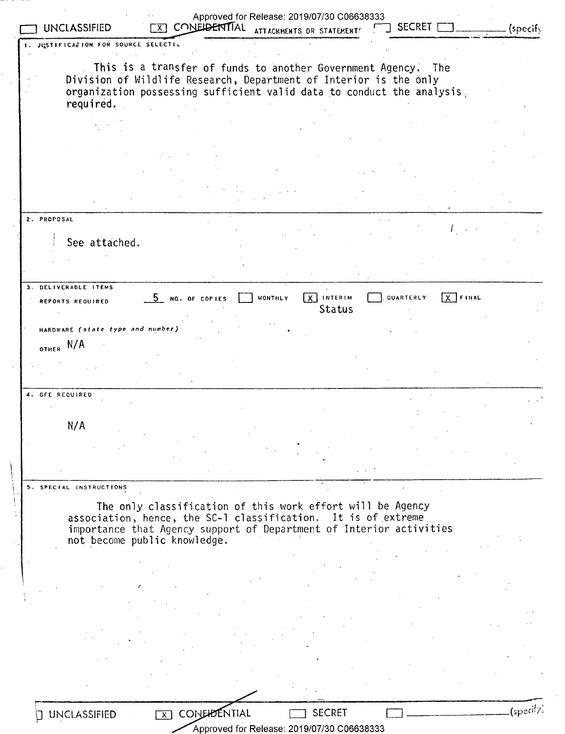|             |                                                                        | 1. JUSTIFICATION FOR SOURCE SELECTIV                          |                 |                |                     |           |           |  |
|-------------|------------------------------------------------------------------------|---------------------------------------------------------------|-----------------|----------------|---------------------|-----------|-----------|--|
|             |                                                                        | This is a transfer of funds to another Government Agency. The |                 |                |                     |           |           |  |
|             | Division of Wildlife Research, Department of Interior is the only      |                                                               |                 |                |                     |           |           |  |
|             | organization possessing sufficient valid data to conduct the analysis. |                                                               |                 |                |                     |           |           |  |
|             | required.                                                              |                                                               |                 |                |                     |           |           |  |
|             |                                                                        |                                                               |                 |                |                     |           |           |  |
|             |                                                                        |                                                               |                 |                |                     |           |           |  |
|             |                                                                        |                                                               |                 |                |                     |           |           |  |
|             |                                                                        |                                                               |                 |                |                     |           |           |  |
|             |                                                                        |                                                               |                 |                |                     |           |           |  |
|             |                                                                        |                                                               |                 |                |                     |           |           |  |
| 2. PROPOSAL |                                                                        |                                                               |                 |                |                     |           |           |  |
|             | See attached.                                                          |                                                               |                 |                |                     |           |           |  |
|             |                                                                        |                                                               |                 |                |                     |           |           |  |
|             |                                                                        |                                                               |                 |                |                     |           |           |  |
|             | 3. DELIVERABLE ITEMS                                                   |                                                               |                 |                |                     |           |           |  |
|             | REPORTS REQUIRED                                                       |                                                               | 5 NO. OF COPIES | <b>MONTHLY</b> | X INTERIM<br>Status | QUARTERLY | $X$ FINAL |  |
|             |                                                                        |                                                               |                 |                |                     |           |           |  |
|             | HARDWARE (state type and number)                                       |                                                               |                 |                |                     |           |           |  |
| OTHER N/A   |                                                                        |                                                               |                 |                |                     |           |           |  |
|             |                                                                        |                                                               |                 |                |                     |           |           |  |
|             |                                                                        |                                                               |                 |                |                     |           |           |  |
|             | 4. GFE REQUIRED                                                        |                                                               |                 |                |                     |           |           |  |
|             |                                                                        |                                                               |                 |                |                     |           |           |  |
|             | N/A                                                                    |                                                               |                 |                |                     |           |           |  |
|             |                                                                        |                                                               |                 |                |                     |           |           |  |
|             |                                                                        |                                                               |                 |                |                     |           |           |  |
|             |                                                                        |                                                               |                 |                |                     |           |           |  |
|             | 5. SPECIAL INSTRUCTIONS                                                |                                                               |                 |                |                     |           |           |  |
|             | association, hence, the SC-1 classification. It is of extreme          | The only classification of this work effort will be Agency    |                 |                |                     |           |           |  |
|             | importance that Agency support of Department of Interior activities    |                                                               |                 |                |                     |           |           |  |
|             | not become public knowledge.                                           |                                                               |                 |                |                     |           |           |  |
|             |                                                                        |                                                               |                 |                |                     |           |           |  |
|             |                                                                        |                                                               |                 |                |                     |           |           |  |
|             |                                                                        |                                                               |                 |                |                     |           |           |  |
|             |                                                                        |                                                               |                 |                |                     |           |           |  |
|             |                                                                        |                                                               |                 |                |                     |           |           |  |
|             |                                                                        |                                                               |                 |                |                     |           |           |  |
|             |                                                                        |                                                               |                 |                |                     |           |           |  |
|             |                                                                        |                                                               |                 |                |                     |           |           |  |
|             |                                                                        |                                                               |                 |                |                     |           |           |  |

 $\hat{\mathcal{A}}$ 

 $\ddot{\phantom{0}}$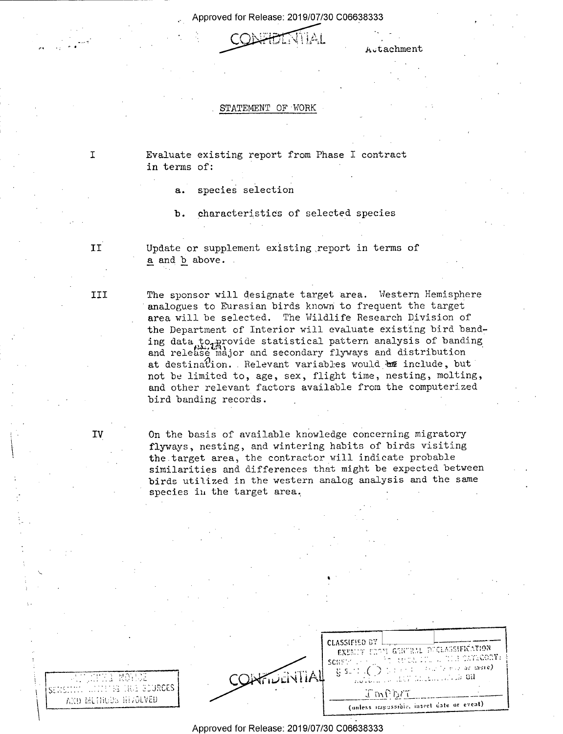Approved for Release: 2019/07/30 C06638333

 $\bigcap$   $\bigcup_{i=1}^n$   $\bigcap_{i=1}^n$   $\bigcup_{i=1}^n$   $\bigcap_{i=1}^n$   $\bigcup_{i=1}^n$ 

Autachment Autachment

#### STATEMENT OF WORK

I Evaluate existing report from Phase I contract in terms of:

a. species selection

b. characteristics of selected species

II Update or supplement existing report in terms of a and b above.

III The sponsor will designate target area. Western Hemisphere analogues to Eurasian birds known to frequent the target area will be selected. The Wildlife Research Division of the Department of Interior will evaluate existing bird banding data to provide statistical pattern analysis of banding and release major and secondary flyways and distribution at destination. Relevant variables would be include, but not be limited to, age, sex, flight time, nesting, molting, and other relevant factors available from the computerized bird banding records.

IV On the basis of available knowledge concerning migratory flyways, nesting, and wintering habits of birds visiting the.target area, the contractor will indicate probable similarities and differences that might be expected between birds utilized in the western analog analysis and the same species in the target area.

Approved for Release: 2019/07/30 C06638333

|                               | ' CLASSIFIED BY L                                                                                                                                                                                                                                                       |  |
|-------------------------------|-------------------------------------------------------------------------------------------------------------------------------------------------------------------------------------------------------------------------------------------------------------------------|--|
|                               | EXEMITE FIRST GENTRAL DUCLASSIFICATION                                                                                                                                                                                                                                  |  |
|                               | <b>SCHEMENT IN THE REPORT IN THE CATAGORY.</b>                                                                                                                                                                                                                          |  |
| THE NOTAE                     | GENTIAL SSEE (O ETHEL TELEVISION<br><b>BE GOVERN</b> THE THEFT AND THE STATE OF THE STATE OF THE STATE OF THE STATE OF THE STATE OF THE STATE OF THE STATE OF THE STATE OF THE STATE OF THE STATE OF THE STATE OF THE STATE OF THE STATE OF THE STATE OF THE STATE OF T |  |
| <b>MATHEM DELLISTIER CEST</b> |                                                                                                                                                                                                                                                                         |  |
| THODS HEADLVED                | TmPhr                                                                                                                                                                                                                                                                   |  |
|                               | (unless impossible, insert date or event)                                                                                                                                                                                                                               |  |
|                               |                                                                                                                                                                                                                                                                         |  |

 $\rm S E E E E E E$ 

VZD WEIHODS HIMOPAR

 $\ddot{\phantom{0}}$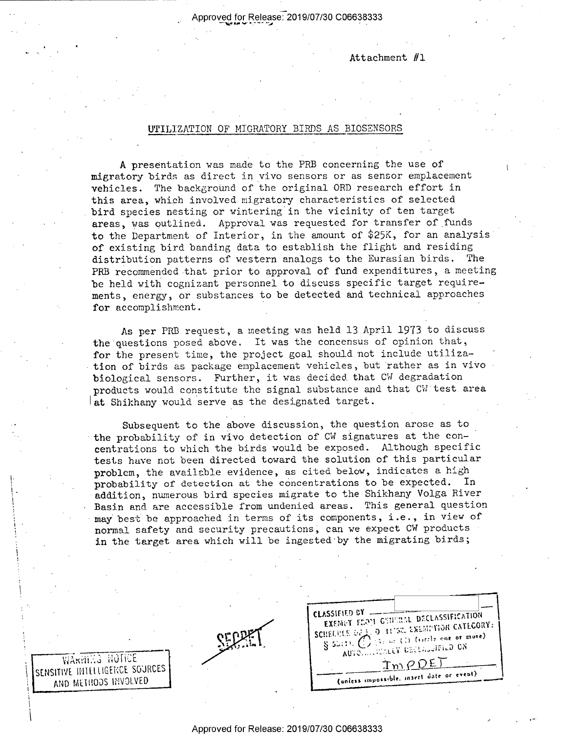Approved for Release: 2019/07/30 C06638333

Attachment #1

## UTILIZATION OF MIGRATORY BIRDS AS BIOSENSORS

A presentation was made to the PRB concerning the use of migratory birds as direct in vivo sensors or as sensor emplacement vehicles. The background of the original ORD research effort in this area, which involved migratory characteristics of selected . bird species nesting or wintering in the vicinity of ten target areas, was outlined. Approval was requested for transfer of funds to the Department of Interior, in the amount of \$25K, for an analysis of existing bird banding data to establish the flight and residing distribution patterns of western analogs to the Eurasian birds. The PRB recommended that prior to approval of fund expenditures, a meeting be held with cognizant personnel to discuss specific target requirements, energy, or substances to be detected and technical approaches for accomplishment.

As per PRB request, a meeting was held 13 April 1973 to discuss the questions posed above. It was the concensus of opinion that, for the present time, the project goal should not include utilization of birds as package emplacement vehicles, but rather as in vivo biological sensors. Further, it was decided that CW degradation products would constitute the signal substance and that CW test area  $\vert$  at Shikhany would serve as the designated target.

Subsequent to the above discussion, the question arose as to the probability of in vivo detection of CW signatures at the concentrations to which the birds would be exposed. Although specific tests have not been directed toward the solution of this particular problem, the available evidence, as cited below, indicates a high probability of detection at the concentrations to be expected. In addition, numerous bird species migrate to the Shikhany Volga River Basin and are accessible from undenied areas. This general question may best be approached in terms of its components, i.e., in view of normal safety and security precautions, can we expect CW products in the target area which will be ingested by the migrating birds;

1  $\mathbf{r}$  AND METHODS INVOLVED

|                                                     | <b>I CLASSIFIED BY -</b><br>EXEMPT FOOT GUIDRAL DECLASSIFICATION                                                                                                           |  |
|-----------------------------------------------------|----------------------------------------------------------------------------------------------------------------------------------------------------------------------------|--|
|                                                     | SCHEDULE GEARD 11752, EXEMPTION CATEGORY: 4<br>$\frac{1}{\sqrt{2}}$ (3) $\frac{1}{\sqrt{2}}$ (3) $\frac{1}{\sqrt{2}}$ (1) (circle one or more)<br>AUTOWART DECLAPSIFIED ON |  |
| WARRIELS HOTICE<br>SENSITIVE INTELLIGENCE SOURCES ) | ImOPE                                                                                                                                                                      |  |
| AND METHODS INVOLVED                                | (onless impossible, insert date or event)                                                                                                                                  |  |

J

..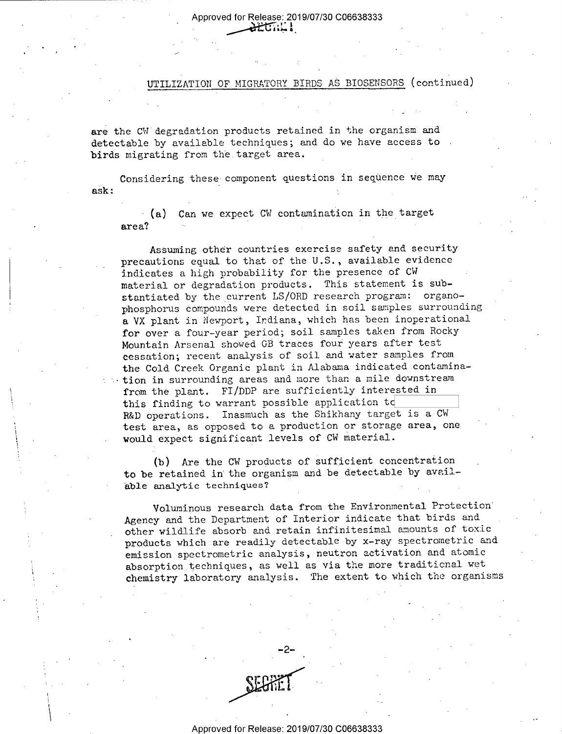Approved for Release: 2019/07/30 C06638333 .  $\frac{1}{2}$ 

### QTILIZATION or MIGRATORY BIRDS AS BIOSENSORS (continued)

are the CW degradation products retained in the organism and detectable by available techniques; and do we have access to . birds migrating from the target area.

/

ask: Considering these component questions in sequence we may

(a) Can we expect CW contamination in the target area? ' '

Assuming other countries exercise safety and security precautions equal to that of the U.S., available evidence indicates a high probability for the presence of CW material or degradation products. This statement is substantiated by the current LS/ORD research program: organophosphorus compounds were detected in soil samples surrounding a VX plant in Newport, Indiana, which has been inoperational for over a four-year period; soil samples taken from Rocky Mountain Arsenal showed GB traces four years after test cessation; recent analysis of soil and water samples from the Cold Creek Organic plant in Alabama indicated contamination in surrounding areas and more than a mile downstream from the plant. FI/DDP are sufficiently interested in this finding to warrant possible application to R&D operations. Inasmuch as the Shikhany target is a CW test area, as opposed to a production or storage area, one would expect significant levels of CW material.

(b) Are the CW products of sufficient concentration \_ to be retained in the organism and be detectable by available analytic techniques?

Voluminous research data from the Environmental Protection' Agency and the Department of Interior indicate that birds and other wildlife absorb and retain infinitesimal amounts of toxic products which are readily detectable by x-ray spectrometric and emission spectrometric analysis, neutron activation and atomic absorption techniques, as well as via the more traditional wet chemistry laboratory analysis. The extent to which the organisms

-2..

 $E^{\rm{max}}$  $\bullet$ .1...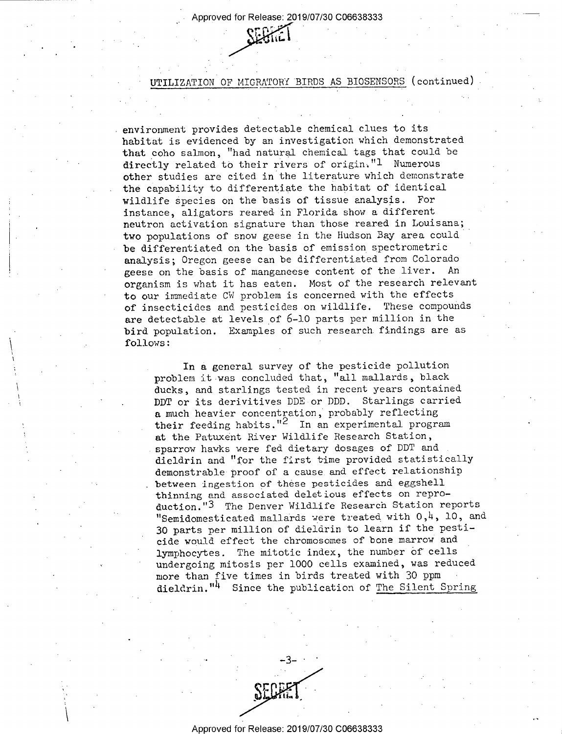<sup>l</sup>Approved for Release: 2019/07/30 C06638333 \_

 $s_{\text{eff}}$ 

 $\cdot$ 

~

# UTILIZATION OF MICRATORY BIRDS AS BIOSENSORS (continued)

environment provides detectable chemical clues to its habitat is evidenced by an investigation which demonstrated that coho salmon, "had natural Chemical tags that could be directly related to their rivers of origin."1 Numerous other studies are cited in the literature which demonstrate the capability to differentiate the habitat of identical wildlife species on the basis of tissue analysis. For instance, aligators reared in Florida show a different neutron activation signature than those reared in Louisana; two populations of snow geese in the Hudson Bay area could be differentiated on the basis of emission spectrometric analysis; Oregon geese can be differentiated from Colorado geese on the basis of manganeese content of the liver. An organism is what it has eaten. Most of the research relevant to our imediate CW problem is concerned with the effects of insecticides and pesticides on wildlife. These compounds are detectable at levels of 6-l0 parts per million in the bird population. Examples of such research findings are as follows:

 $\overline{a}$ 

In a general survey of the pesticide pollution problem it was concluded that, "all mallards, black ducks, and starlings tested in recent years contained DDT or its derivitives DDE or DDD. Starlings carried a much heavier concentration, probably reflecting their feeding habits."<sup>2</sup> In an experimental program at the Patuxent River Wildlife Research Station, sparrow hawks were fed dietary dosages of DDT and dieldrin and "for the first time provided statistically demonstrable proof of a cause and effect relationship between ingestion of these pesticides and eggshell thinning and associated deletious effects on reproduction."3 The Denver Wildlife Research Station reports "Semidomesticated mallards were treated with  $0,4$ ,  $10$ , and 30 parts per million of dieldrin to learn if the pesticide would effect the chromosomes of bone marrow and lymphocytes. The mitotic index, the number of cells undergoing mitosis per 1000 cells examined, was reduced more than five times in birds treated with 30 ppm dieldrin."<sup>4</sup> Since the publication of The Silent Spring

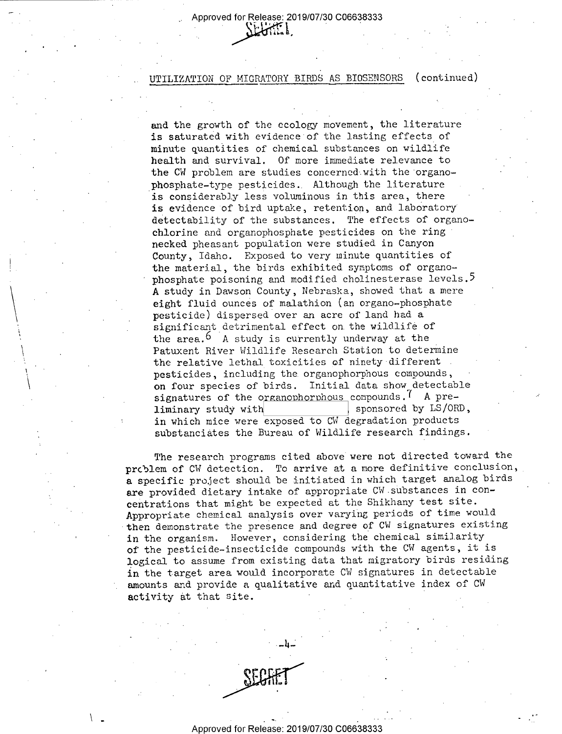UTILIZATION OF MIGRATORY BIRDS AS BIOSENSORS (continued)

Approved for Release: 2019/07/30 C06638333

ll:-'n

and the growth of the ecology movement, the literature is saturated with evidence of the lasting effects of minute quantities of chemical substances on wildlife health and survival. Of more immediate relevance to the CW problem are studies concerned with the organophosphate-type pesticides., Although the literature is considerably less voluminous in this area, there is evidence of bird uptake, retention, and laboratory detectability of the substances. The effects of organochlorine and organophosphate pesticides on the ring necked pheasant population were studied in Canyon County, Idaho. Exposed to very minute quantities of the material, the birds exhibited symptoms of organophosphate poisoning and modified cholinesterase levels.<sup>5</sup> A study in Dawson County, Nebraska, showed that a mere eight fluid ounces of malathion (an organo~phosphate pesticide) dispersed over an acre of land had a significant detrimental effect on the wildlife of the area.<sup>6</sup> A study is currently underway at the Patuxent River Wildlife Research Station to determine the relative lethal toxicities of ninety different pesticides, including the organophorphous compounds, on four species of birds. Initial data show detectable signatures of the organophorphous compounds.<sup> $I$ </sup> A pre-<br>liminary study with sponsored by LS/ORD, liminary study witdE%%7:%:?:%::::] sponsored by LS/ORD, in which mice were exposed to CW degradation products substanciates the Bureau of Wildlife research findings.

The research programs cited above were not directed toward the problem of CW detection. To arrive at a more definitive conclusion, a specific project should be initiated in which target analog birds are provided dietary intake of appropriate CW.substances in concentrations that might be expected at the Shikhany test site. Appropriate chemical analysis over varying periods of time would then demonstrate the presence and degree of CW signatures existing in the organism. However, considering the chemical similarity of the pesticide-insecticide compounds with the CW agents, it is logical to assume from existing data that migratory birds residing in the target area would incorporate CW signatures in detectable amounts and provide a qualitative and quantitative index of CW activity at that site.

 $\sim -4 -$ 

.. ,-  $\prod_{i=1}^n$ ~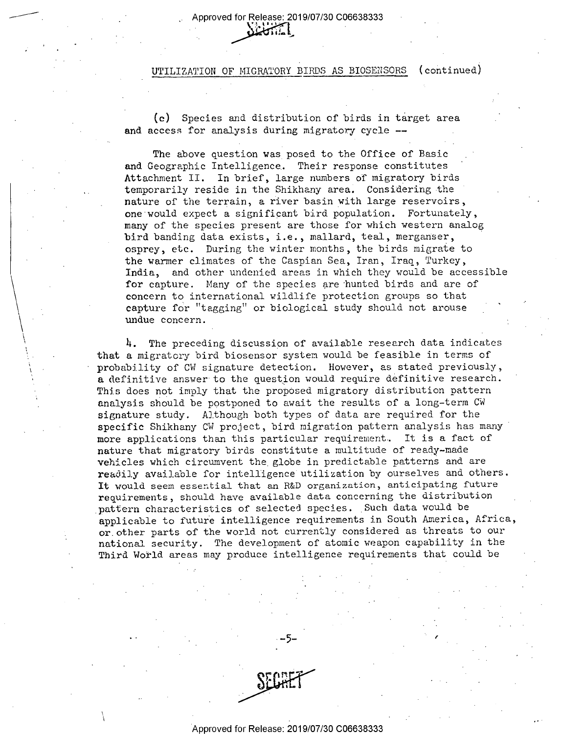## UTILIZATION OF MIGRATORY BIRDS AS BIOSENSORS (continued)

(c) Species and distribution of birds in target area and access for analysis during migratory cycle --

Approved for Release: 2019/07/30 C06638333

 $\frac{1}{2}$  if  $\frac{1}{2}$ 

 $\ddot{\phantom{1}}$ 

 $\ddot{\phantom{1}}$ 

 $\mathcal{F} = \mathcal{F}$ 

The above question was posed to the Office of Basic and Geographic Intelligence. Their response constitutes Attachment II. In brief, large numbers of migratory birds temporarily reside in the Shikhany area. Considering the ' nature of the terrain, a river basin with large reservoirs, one would expect a significant bird population. Fortunately, many of the species present are those for which western analog bird banding data exists, i.e., mallard, teal, merganser, osprey, etc. During the winter months, the birds migrate to the warmer climates of the Caspian Sea, Iran, Iraq, Turkey, India, and other undenied areas in which they would be accessible for capture. Many of the species are hunted birds and are of concern to international wildlife protection groups so that capture for "tagging" or biological study should not arouse undue concern.

H. The preceding discussion of available research data indicates that a migratory bird biosensor system would be feasible in terms of probability of CW signature detection. However, as stated previously, \ a definitive answer to the question would require definitive research. This does not imply that the proposed migratory distribution pattern analysis should be postponed to await the results of a long-term CW signature study. Although both types of data are required for the specific Shikhany CW project, bird migration pattern analysis has many more applications than this particular requirement. It is a fact of nature that migratory birds constitute a multitude of ready~made vehicles which circumvent the globe in predictable patterns and are readily available for intelligence utilization by ourselves and others. It would seem essential that an R&D organization, anticipating future requirements, should have available data concerning the distribution pattern characteristics of selected species. Such data would be applicable to future intelligence requirements in South America, Africa, or other parts of the world not currently considered as threats to our national security. The development of atomic weapon capability in the Third World areas may produce intelligence requirements that could be



\ ~

...§\_ <sup>I</sup>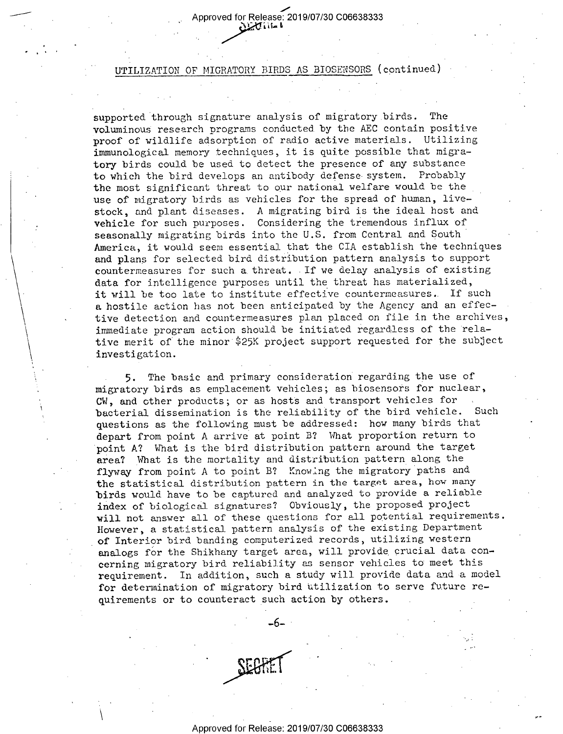# UTILIZATION OF MIGRATORY BIRDS AS BIOSENSORS (continued)

 $\overline{\phantom{a}}$ 

 $\overline{\phantom{a}}$ \

 $\ddot{\phantom{1}}$ 

 $\overline{\phantom{a}}$ 

supported through signature analysis of migratory birds. The voluminous research programs conducted by the AEC contain positive proof of wildlife adsorption of radio active materials. Utilizing immunological memory techniques, it is quite possible that migratory birds could be used to detect the presence of any substance to which the bird develops an antibody defense-system. Probably the most significant threat to our national welfare would be the use of migratory birds as vehicles for the spread of human, livestock, and plant diseases. A migrating bird is the ideal host and vehicle for such purposes. Considering the tremendous influx of seasonally migrating birds into the U.S. from Central and South. America, it would seem essential that the CIA establish the techniques and plans for selected bird distribution pattern analysis to support countermeasures for such a threat. If we delay analysis of existing data for intelligence purposes until the threat has materialized, it will be too late to institute effective countermeasures. If such a hostile action has not been anticipated by the Agency and an effective detection and countermeasures plan placed on file in the archives, immediate program action should be initiated regardless of the relative merit of the minor \$25K project support requested for the subject investigation.

5. The basic and primary consideration regarding the use of migratory birds as emplacement vehicles; as biosensors for nuclear, CW, and other products; or as hosts and transport vehicles for . bacterial dissemination is the reliability of the bird vehicle. Such questions as the following must be addressed: how many birds that depart from point A arrive at point B? What proportion return to point A? What is the bird distribution pattern around the target area? What is the mortality and distribution pattern along the flyway from point A to point B? Knowing the migratory paths and the statistical distribution pattern in the target area, how many birds would have to be captured and analyzed to provide a reliable index of biological signatures? Obviously, the proposed project will not answer all of these questions for all potential requirements. However, a statistical pattern analysis of the existing Department of Interior bird banding computerized records, utilizing western analogs for the Shikhany target area, will provide crucial data concerning migratory bird reliability as sensor vehicles to meet this requirement. In addition, such a study will provide data and a model for determination of migratory bird utilization to serve future requirements or to counteract such action by others.



,.-

-6--